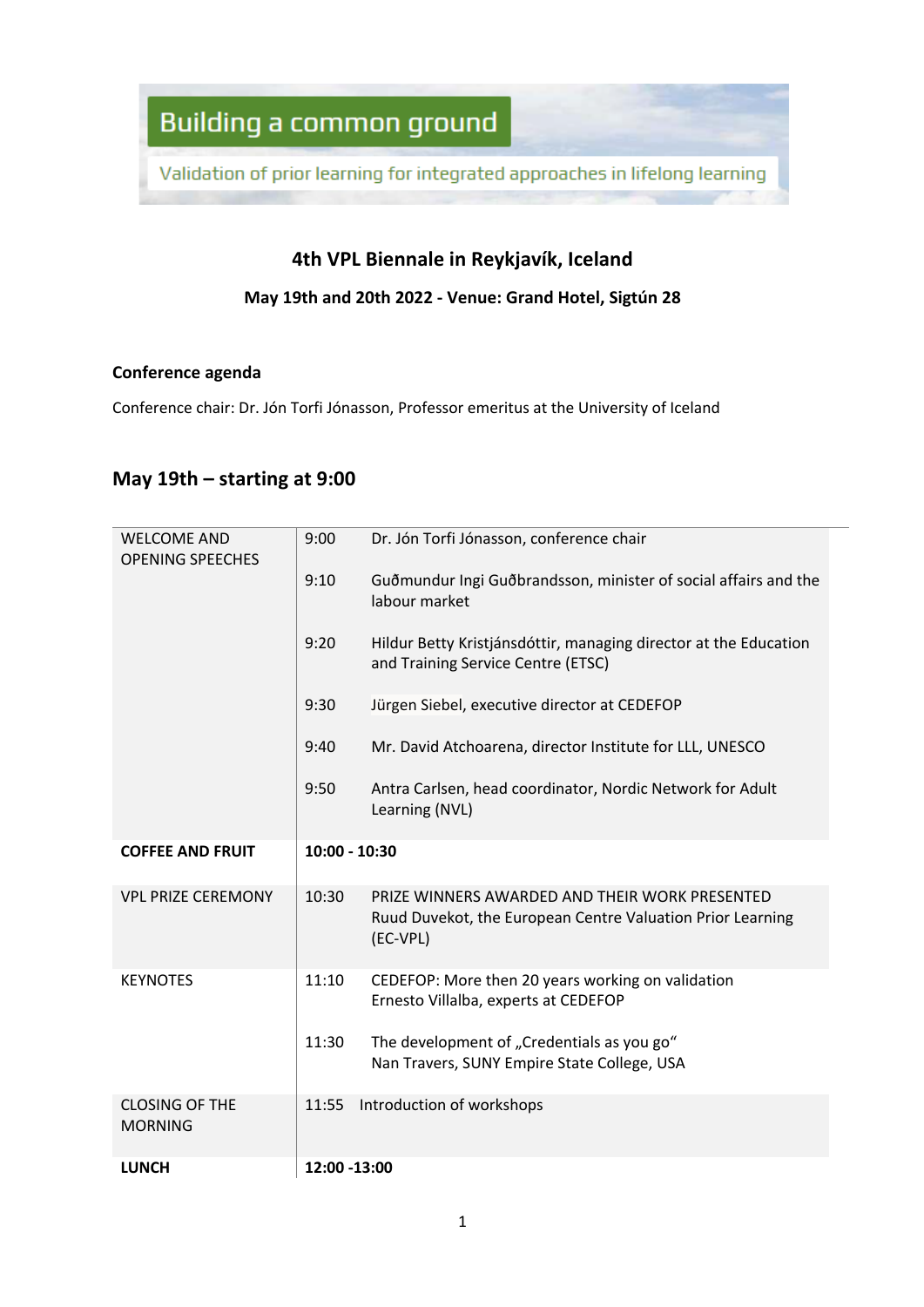Validation of prior learning for integrated approaches in lifelong learning

#### **4th VPL Biennale in Reykjavík, Iceland**

#### **May 19th and 20th 2022 - Venue: Grand Hotel, Sigtún 28**

#### **Conference agenda**

Conference chair: Dr. Jón Torfi Jónasson, Professor emeritus at the University of Iceland

#### **May 19th – starting at 9:00**

| <b>WELCOME AND</b>                      | 9:00          | Dr. Jón Torfi Jónasson, conference chair                                                                                 |
|-----------------------------------------|---------------|--------------------------------------------------------------------------------------------------------------------------|
| <b>OPENING SPEECHES</b>                 |               |                                                                                                                          |
|                                         | 9:10          | Guðmundur Ingi Guðbrandsson, minister of social affairs and the<br>labour market                                         |
|                                         | 9:20          | Hildur Betty Kristjánsdóttir, managing director at the Education<br>and Training Service Centre (ETSC)                   |
|                                         | 9:30          | Jürgen Siebel, executive director at CEDEFOP                                                                             |
|                                         | 9:40          | Mr. David Atchoarena, director Institute for LLL, UNESCO                                                                 |
|                                         | 9:50          | Antra Carlsen, head coordinator, Nordic Network for Adult<br>Learning (NVL)                                              |
| <b>COFFEE AND FRUIT</b>                 | 10:00 - 10:30 |                                                                                                                          |
| <b>VPL PRIZE CEREMONY</b>               | 10:30         | PRIZE WINNERS AWARDED AND THEIR WORK PRESENTED<br>Ruud Duvekot, the European Centre Valuation Prior Learning<br>(EC-VPL) |
| <b>KEYNOTES</b>                         | 11:10         | CEDEFOP: More then 20 years working on validation<br>Ernesto Villalba, experts at CEDEFOP                                |
|                                         | 11:30         | The development of "Credentials as you go"<br>Nan Travers, SUNY Empire State College, USA                                |
| <b>CLOSING OF THE</b><br><b>MORNING</b> | 11:55         | Introduction of workshops                                                                                                |
| <b>LUNCH</b>                            | 12:00 -13:00  |                                                                                                                          |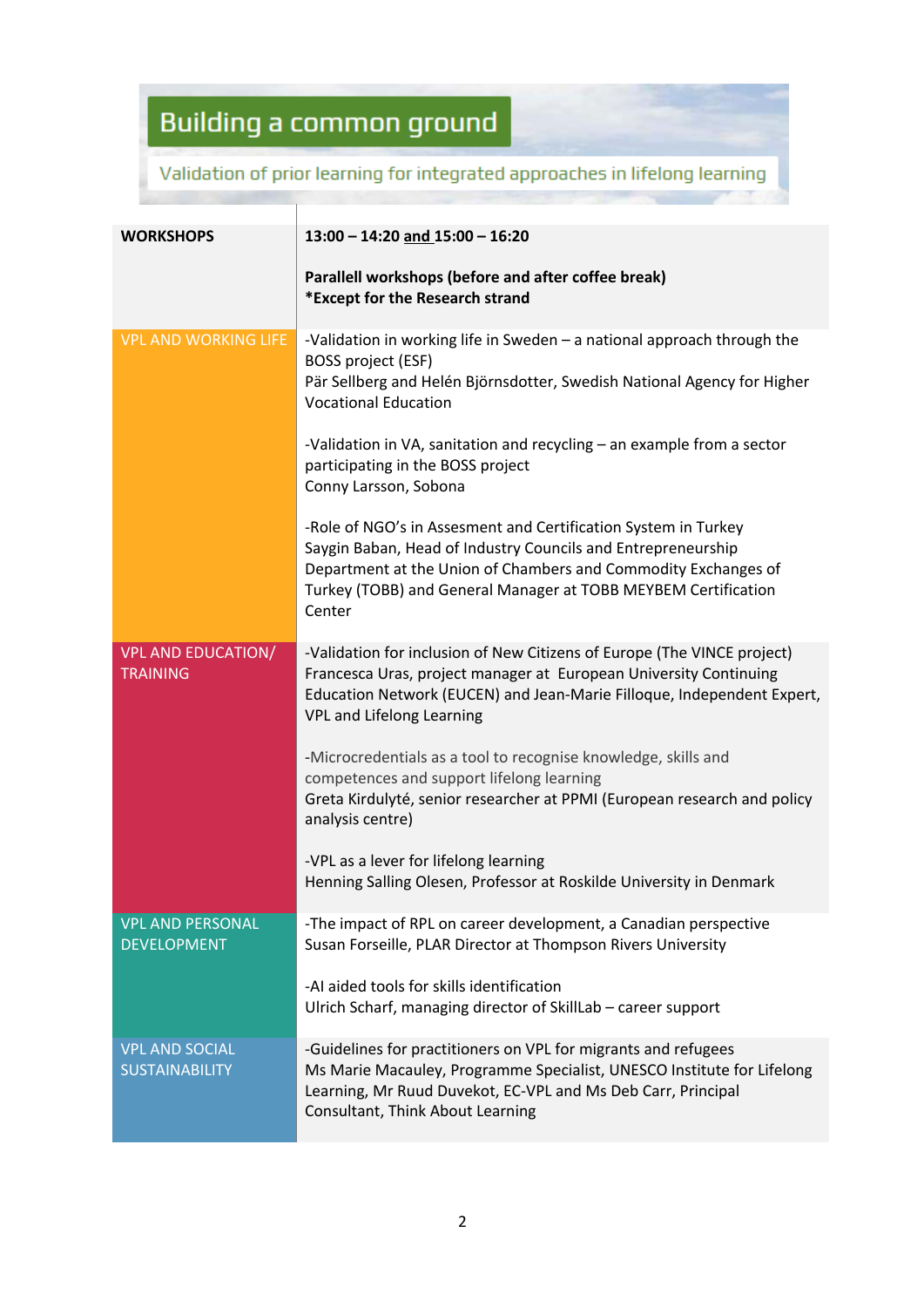### Validation of prior learning for integrated approaches in lifelong learning

| <b>WORKSHOPS</b>                               | $13:00 - 14:20$ and $15:00 - 16:20$                                                                                                                                                                                                                        |  |  |
|------------------------------------------------|------------------------------------------------------------------------------------------------------------------------------------------------------------------------------------------------------------------------------------------------------------|--|--|
|                                                | Parallell workshops (before and after coffee break)<br>*Except for the Research strand                                                                                                                                                                     |  |  |
| <b>VPL AND WORKING LIFE</b>                    | -Validation in working life in Sweden - a national approach through the<br><b>BOSS project (ESF)</b>                                                                                                                                                       |  |  |
|                                                | Pär Sellberg and Helén Björnsdotter, Swedish National Agency for Higher<br><b>Vocational Education</b>                                                                                                                                                     |  |  |
|                                                | -Validation in VA, sanitation and recycling – an example from a sector<br>participating in the BOSS project<br>Conny Larsson, Sobona                                                                                                                       |  |  |
|                                                | -Role of NGO's in Assesment and Certification System in Turkey<br>Saygin Baban, Head of Industry Councils and Entrepreneurship                                                                                                                             |  |  |
|                                                | Department at the Union of Chambers and Commodity Exchanges of<br>Turkey (TOBB) and General Manager at TOBB MEYBEM Certification                                                                                                                           |  |  |
|                                                | Center                                                                                                                                                                                                                                                     |  |  |
| <b>VPL AND EDUCATION/</b><br><b>TRAINING</b>   | -Validation for inclusion of New Citizens of Europe (The VINCE project)<br>Francesca Uras, project manager at European University Continuing<br>Education Network (EUCEN) and Jean-Marie Filloque, Independent Expert,<br><b>VPL and Lifelong Learning</b> |  |  |
|                                                | -Microcredentials as a tool to recognise knowledge, skills and<br>competences and support lifelong learning                                                                                                                                                |  |  |
|                                                | Greta Kirdulyté, senior researcher at PPMI (European research and policy<br>analysis centre)                                                                                                                                                               |  |  |
|                                                | -VPL as a lever for lifelong learning<br>Henning Salling Olesen, Professor at Roskilde University in Denmark                                                                                                                                               |  |  |
| <b>VPL AND PERSONAL</b><br><b>DEVELOPMENT</b>  | -The impact of RPL on career development, a Canadian perspective<br>Susan Forseille, PLAR Director at Thompson Rivers University                                                                                                                           |  |  |
|                                                | -AI aided tools for skills identification<br>Ulrich Scharf, managing director of SkillLab - career support                                                                                                                                                 |  |  |
| <b>VPL AND SOCIAL</b><br><b>SUSTAINABILITY</b> | -Guidelines for practitioners on VPL for migrants and refugees<br>Ms Marie Macauley, Programme Specialist, UNESCO Institute for Lifelong<br>Learning, Mr Ruud Duvekot, EC-VPL and Ms Deb Carr, Principal<br>Consultant, Think About Learning               |  |  |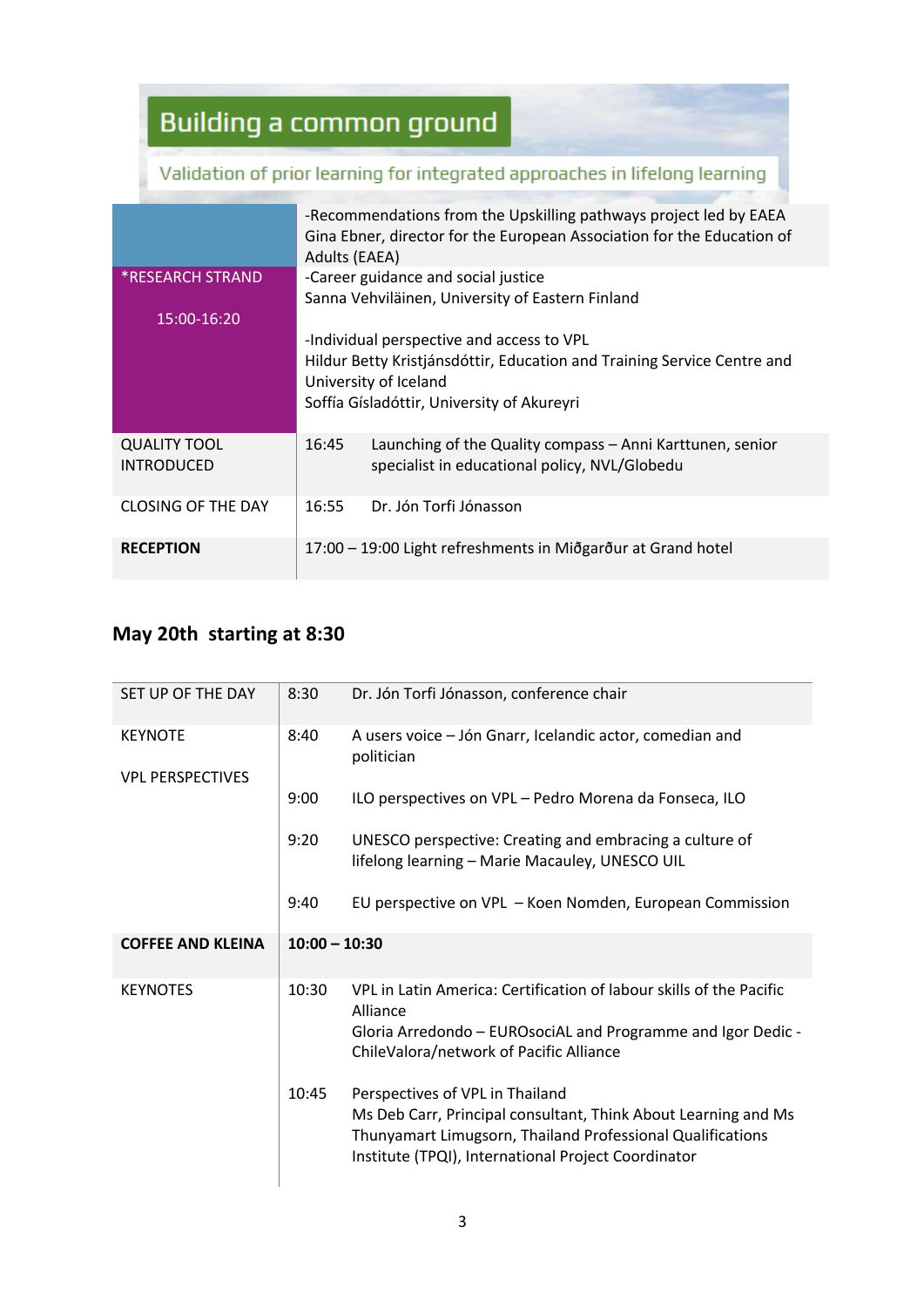### Validation of prior learning for integrated approaches in lifelong learning

|                                          | Adults (EAEA) | -Recommendations from the Upskilling pathways project led by EAEA<br>Gina Ebner, director for the European Association for the Education of                                                 |
|------------------------------------------|---------------|---------------------------------------------------------------------------------------------------------------------------------------------------------------------------------------------|
| <b>*RESEARCH STRAND</b><br>15:00-16:20   |               | -Career guidance and social justice<br>Sanna Vehviläinen, University of Eastern Finland                                                                                                     |
|                                          |               | -Individual perspective and access to VPL<br>Hildur Betty Kristjánsdóttir, Education and Training Service Centre and<br>University of Iceland<br>Soffía Gísladóttir, University of Akureyri |
| <b>QUALITY TOOL</b><br><b>INTRODUCED</b> | 16:45         | Launching of the Quality compass - Anni Karttunen, senior<br>specialist in educational policy, NVL/Globedu                                                                                  |
| <b>CLOSING OF THE DAY</b>                | 16:55         | Dr. Jón Torfi Jónasson                                                                                                                                                                      |
| <b>RECEPTION</b>                         |               | 17:00 – 19:00 Light refreshments in Miðgarður at Grand hotel                                                                                                                                |

#### **May 20th starting at 8:30**

| SET UP OF THE DAY        | 8:30            | Dr. Jón Torfi Jónasson, conference chair                                                                          |
|--------------------------|-----------------|-------------------------------------------------------------------------------------------------------------------|
| <b>KEYNOTE</b>           | 8:40            | A users voice - Jón Gnarr, Icelandic actor, comedian and<br>politician                                            |
| <b>VPL PERSPECTIVES</b>  |                 |                                                                                                                   |
|                          | 9:00            | ILO perspectives on VPL - Pedro Morena da Fonseca, ILO                                                            |
|                          | 9:20            | UNESCO perspective: Creating and embracing a culture of<br>lifelong learning - Marie Macauley, UNESCO UIL         |
|                          | 9:40            | EU perspective on VPL - Koen Nomden, European Commission                                                          |
|                          |                 |                                                                                                                   |
| <b>COFFEE AND KLEINA</b> | $10:00 - 10:30$ |                                                                                                                   |
| <b>KEYNOTES</b>          | 10:30           | VPL in Latin America: Certification of labour skills of the Pacific<br>Alliance                                   |
|                          |                 | Gloria Arredondo - EUROsociAL and Programme and Igor Dedic -<br>ChileValora/network of Pacific Alliance           |
|                          | 10:45           | Perspectives of VPL in Thailand                                                                                   |
|                          |                 | Ms Deb Carr, Principal consultant, Think About Learning and Ms                                                    |
|                          |                 | Thunyamart Limugsorn, Thailand Professional Qualifications<br>Institute (TPQI), International Project Coordinator |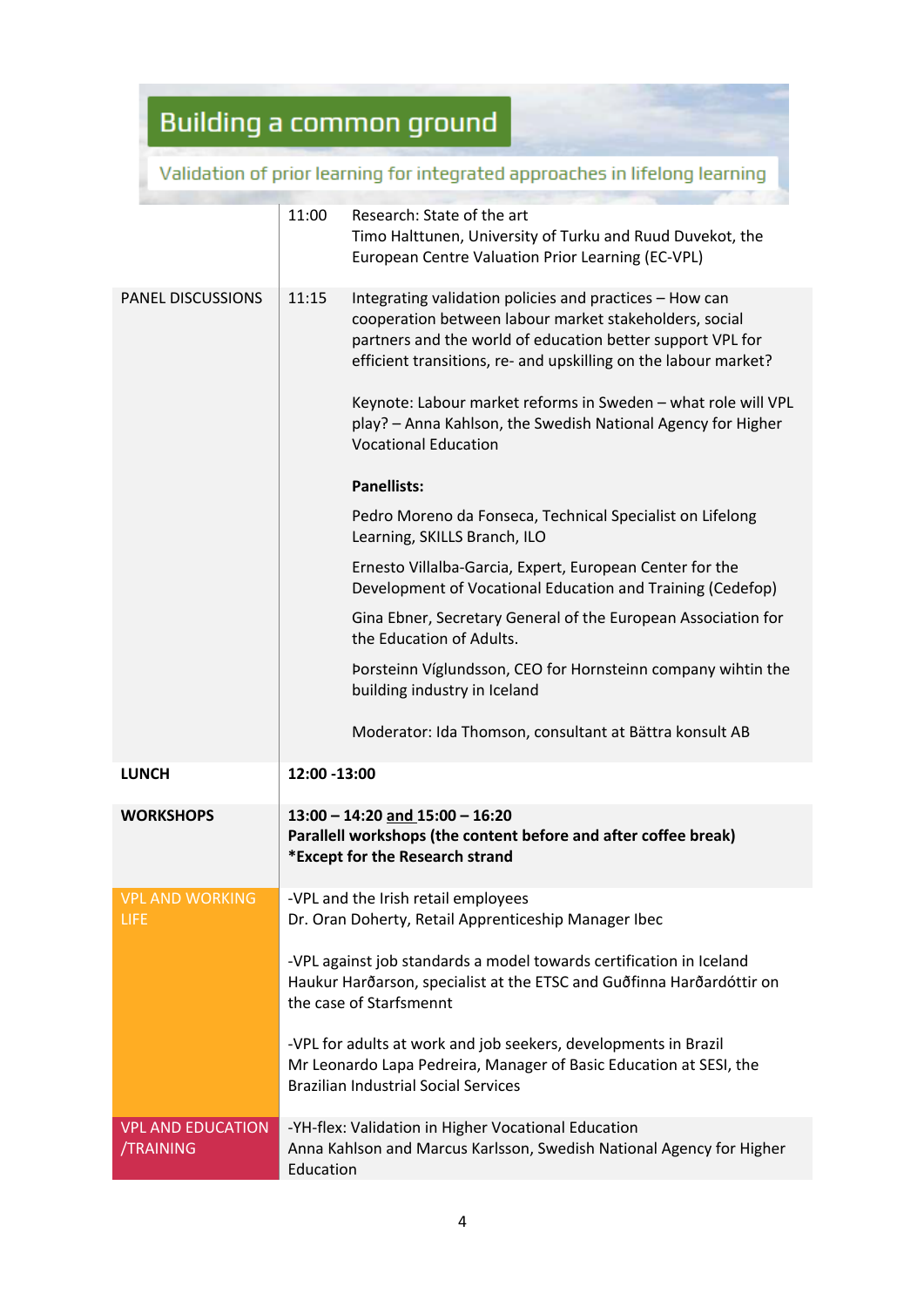Validation of prior learning for integrated approaches in lifelong learning

|                                              | 11:00        | Research: State of the art<br>Timo Halttunen, University of Turku and Ruud Duvekot, the<br>European Centre Valuation Prior Learning (EC-VPL)                                                                                                                                                                                                                                                                                                                                                                                                                                                                                                                                                                                                                                                                                                                                                                            |
|----------------------------------------------|--------------|-------------------------------------------------------------------------------------------------------------------------------------------------------------------------------------------------------------------------------------------------------------------------------------------------------------------------------------------------------------------------------------------------------------------------------------------------------------------------------------------------------------------------------------------------------------------------------------------------------------------------------------------------------------------------------------------------------------------------------------------------------------------------------------------------------------------------------------------------------------------------------------------------------------------------|
| <b>PANEL DISCUSSIONS</b>                     | 11:15        | Integrating validation policies and practices - How can<br>cooperation between labour market stakeholders, social<br>partners and the world of education better support VPL for<br>efficient transitions, re- and upskilling on the labour market?<br>Keynote: Labour market reforms in Sweden - what role will VPL<br>play? - Anna Kahlson, the Swedish National Agency for Higher<br><b>Vocational Education</b><br><b>Panellists:</b><br>Pedro Moreno da Fonseca, Technical Specialist on Lifelong<br>Learning, SKILLS Branch, ILO<br>Ernesto Villalba-Garcia, Expert, European Center for the<br>Development of Vocational Education and Training (Cedefop)<br>Gina Ebner, Secretary General of the European Association for<br>the Education of Adults.<br>Porsteinn Víglundsson, CEO for Hornsteinn company wihtin the<br>building industry in Iceland<br>Moderator: Ida Thomson, consultant at Bättra konsult AB |
| <b>LUNCH</b>                                 | 12:00 -13:00 |                                                                                                                                                                                                                                                                                                                                                                                                                                                                                                                                                                                                                                                                                                                                                                                                                                                                                                                         |
| <b>WORKSHOPS</b>                             |              | $13:00 - 14:20$ and $15:00 - 16:20$<br>Parallell workshops (the content before and after coffee break)<br>*Except for the Research strand                                                                                                                                                                                                                                                                                                                                                                                                                                                                                                                                                                                                                                                                                                                                                                               |
| <b>VPL AND WORKING</b><br><b>LIFE</b>        |              | -VPL and the Irish retail employees<br>Dr. Oran Doherty, Retail Apprenticeship Manager Ibec<br>-VPL against job standards a model towards certification in Iceland<br>Haukur Harðarson, specialist at the ETSC and Guðfinna Harðardóttir on<br>the case of Starfsmennt<br>-VPL for adults at work and job seekers, developments in Brazil<br>Mr Leonardo Lapa Pedreira, Manager of Basic Education at SESI, the<br><b>Brazilian Industrial Social Services</b>                                                                                                                                                                                                                                                                                                                                                                                                                                                          |
| <b>VPL AND EDUCATION</b><br><b>/TRAINING</b> | Education    | -YH-flex: Validation in Higher Vocational Education<br>Anna Kahlson and Marcus Karlsson, Swedish National Agency for Higher                                                                                                                                                                                                                                                                                                                                                                                                                                                                                                                                                                                                                                                                                                                                                                                             |